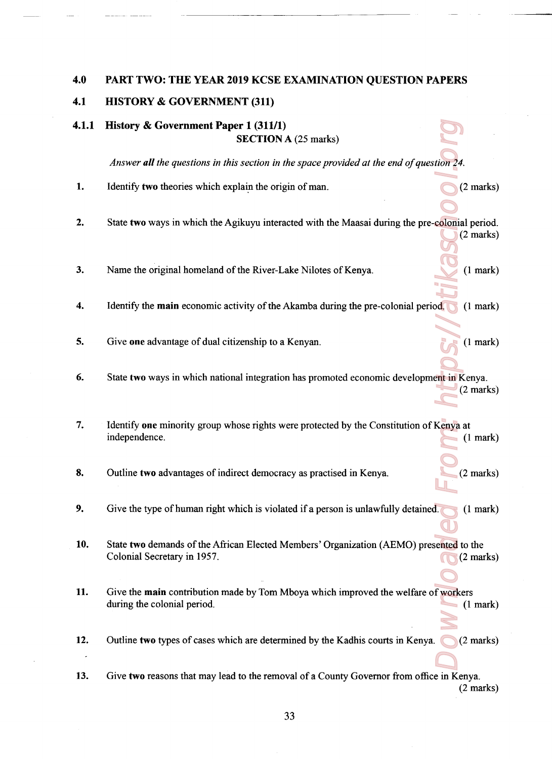## 4.0 PART TWO: THE YEAR <sup>2019</sup> KCSE EXAMINATION QUESTION PAPERS

## 4.1 HISTORY & GOVERNMENT (311)

4.1.1 History & Government Paper <sup>1</sup> (311/1) SECTION A (25 marks)

Answer all the questions in this section in the space provided at the end of question  $24$ .

- dion 24. Colonia colonia de Colonia de Colonia de Colonia de Colonia de Colonia de Colonia de Colonia de Colonia de Colonia de Colonia de Colonia de Colonia de Colonia de Colonia de Colonia de Colonia de Colonia de Colonia 1. Identify **two** theories which explain the origin of man.  $(2 \text{ marks})$
- $2.$ State two ways in which the Agikuyu interacted with the Maasai during the pre-colonial period. (2 marks)
- 3. Name the original homeland of the River-Lake Nilotes of Kenya. (1 mark)
- Identify the main economic activity of the Akamba during the ore-colonial period. (1 mark) 4.
- 5. Give one advantage of dual citizenship to a Kenyan. (1 mark)
- State two ways in which national integration has promoted economic development in Kenya. 6. (2 marks)
- 7. Identify one minority group whose rights were protected by the Constitution of Kenya at independence. (1 mark)
- 8. Outline two advantages of indirect democracy as practised in Kenya. (2 marks)
- 9. Give the type of human right which is violated if a person is unlawfully detained. (1 mark)
- 10. State two demands of the African Elected Members' Organization (AEMO) presented to the Colonial Secretary in 1957. (2 marks)
- 11. Give the **main** contribution made by Tom Mboya which improved the welfare of workers during the colonial period. (1 mark) (1 mark)
- 12. Outline two types of cases which are determined by the Kadhis courts in Kenya.  $(2 \text{ marks})$
- 13. Give two reasons that may lead to the removal of <sup>a</sup> County Govemot from office in Kenya. (2 marks)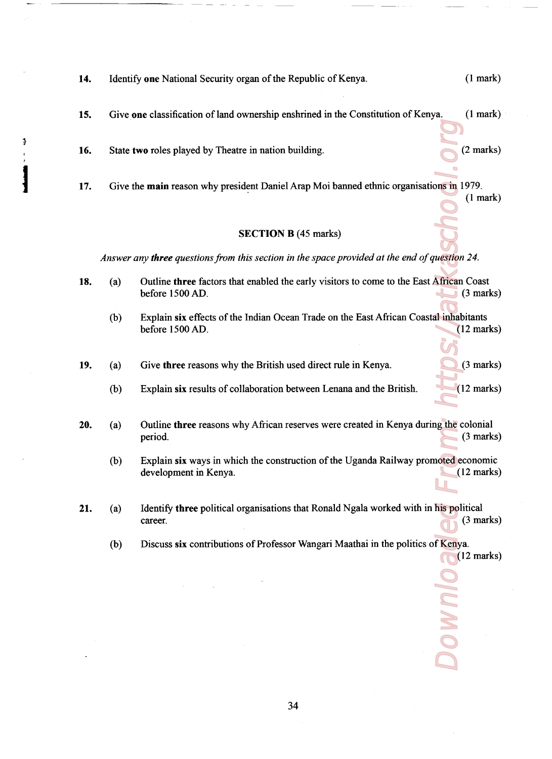| 14. |                                                                                               | Identify one National Security organ of the Republic of Kenya.                                              | (1 mark)             |
|-----|-----------------------------------------------------------------------------------------------|-------------------------------------------------------------------------------------------------------------|----------------------|
| 15. |                                                                                               | Give one classification of land ownership enshrined in the Constitution of Kenya.                           | (1 mark)             |
| 16. |                                                                                               | State two roles played by Theatre in nation building.                                                       | $(2 \text{ marks})$  |
| 17. |                                                                                               | Give the main reason why president Daniel Arap Moi banned ethnic organisations in 1979.                     | (1 mark)             |
|     |                                                                                               | <b>SECTION B (45 marks)</b>                                                                                 |                      |
|     | Answer any three questions from this section in the space provided at the end of question 24. |                                                                                                             |                      |
| 18. | (a)                                                                                           | Outline three factors that enabled the early visitors to come to the East African Coast<br>before 1500 AD.  | $(3 \text{ marks})$  |
|     | (b)                                                                                           | Explain six effects of the Indian Ocean Trade on the East African Coastal inhabitants<br>before 1500 AD.    | $(12 \text{ marks})$ |
| 19. | (a)                                                                                           | Give three reasons why the British used direct rule in Kenya.                                               | $(3 \text{ marks})$  |
|     | (b)                                                                                           | Explain six results of collaboration between Lenana and the British.                                        | $(12 \text{ marks})$ |
| 20. | (a)                                                                                           | Outline three reasons why African reserves were created in Kenya during the colonial<br>period.             | $(3 \text{ marks})$  |
|     | (b)                                                                                           | Explain six ways in which the construction of the Uganda Railway promoted economic<br>development in Kenya. | $(12 \text{ marks})$ |
| 21. | (a)                                                                                           | Identify three political organisations that Ronald Ngala worked with in his political<br>career.            | $(3 \text{ marks})$  |
|     | (b)                                                                                           | Discuss six contributions of Professor Wangari Maathai in the politics of Kenya.                            | $(12 \text{ marks})$ |
|     |                                                                                               |                                                                                                             |                      |
|     |                                                                                               |                                                                                                             |                      |
|     |                                                                                               |                                                                                                             |                      |

 $\begin{array}{c}\n\bullet \\
\bullet \\
\bullet \\
\bullet\n\end{array}$ 

34